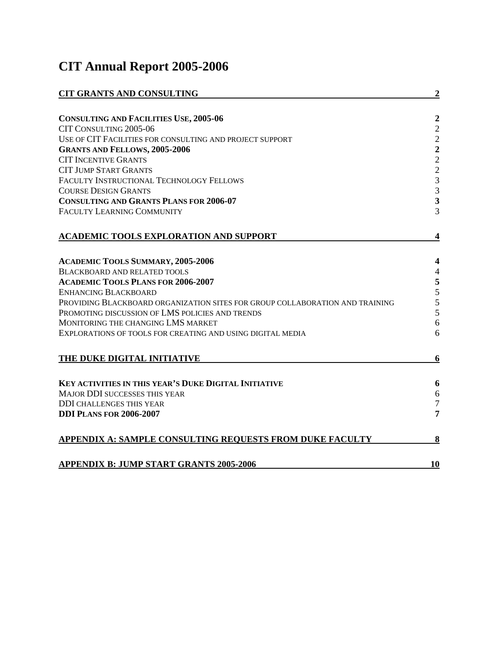# **CIT Annual Report 2005-2006**

| <b>CIT GRANTS AND CONSULTING</b>                                             | $\overline{2}$          |
|------------------------------------------------------------------------------|-------------------------|
|                                                                              |                         |
| <b>CONSULTING AND FACILITIES USE, 2005-06</b>                                | $\boldsymbol{2}$        |
| CIT CONSULTING 2005-06                                                       |                         |
| USE OF CIT FACILITIES FOR CONSULTING AND PROJECT SUPPORT                     | $2222$<br>$223$         |
| <b>GRANTS AND FELLOWS, 2005-2006</b>                                         |                         |
| <b>CIT INCENTIVE GRANTS</b>                                                  |                         |
| <b>CIT JUMP START GRANTS</b>                                                 |                         |
| FACULTY INSTRUCTIONAL TECHNOLOGY FELLOWS                                     |                         |
| <b>COURSE DESIGN GRANTS</b>                                                  | 3                       |
| <b>CONSULTING AND GRANTS PLANS FOR 2006-07</b>                               | $\overline{\mathbf{3}}$ |
| <b>FACULTY LEARNING COMMUNITY</b>                                            | $\overline{3}$          |
|                                                                              |                         |
| <b>ACADEMIC TOOLS EXPLORATION AND SUPPORT</b>                                | 4                       |
|                                                                              |                         |
| <b>ACADEMIC TOOLS SUMMARY, 2005-2006</b>                                     | 4                       |
| <b>BLACKBOARD AND RELATED TOOLS</b>                                          | $\overline{4}$          |
| <b>ACADEMIC TOOLS PLANS FOR 2006-2007</b>                                    | 5                       |
| <b>ENHANCING BLACKBOARD</b>                                                  | 5                       |
| PROVIDING BLACKBOARD ORGANIZATION SITES FOR GROUP COLLABORATION AND TRAINING | 5                       |
| PROMOTING DISCUSSION OF LMS POLICIES AND TRENDS                              | 5                       |
| MONITORING THE CHANGING LMS MARKET                                           | 6                       |
| EXPLORATIONS OF TOOLS FOR CREATING AND USING DIGITAL MEDIA                   | 6                       |
| THE DUKE DIGITAL INITIATIVE                                                  | 6                       |
|                                                                              |                         |
| <b>KEY ACTIVITIES IN THIS YEAR'S DUKE DIGITAL INITIATIVE</b>                 | 6                       |
| <b>MAJOR DDI SUCCESSES THIS YEAR</b>                                         | 6                       |
| <b>DDI CHALLENGES THIS YEAR</b>                                              | $\overline{7}$          |
| <b>DDI PLANS FOR 2006-2007</b>                                               | 7                       |
|                                                                              |                         |
| APPENDIX A: SAMPLE CONSULTING REQUESTS FROM DUKE FACULTY                     | 8                       |
| <b>APPENDIX B: JUMP START GRANTS 2005-2006</b>                               | 10                      |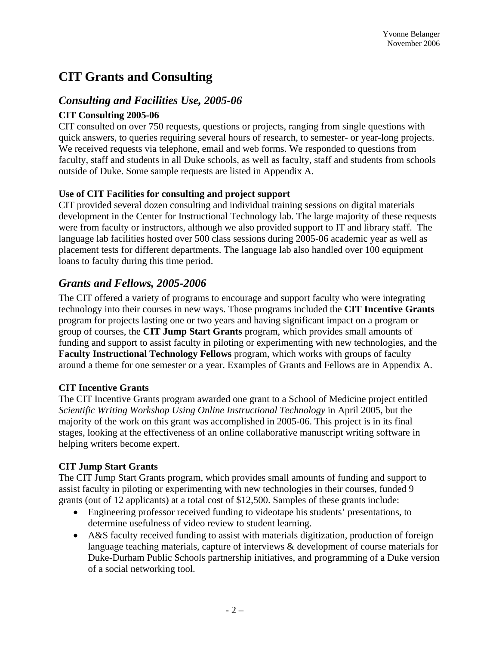# **CIT Grants and Consulting**

### *Consulting and Facilities Use, 2005-06*

#### **CIT Consulting 2005-06**

CIT consulted on over 750 requests, questions or projects, ranging from single questions with quick answers, to queries requiring several hours of research, to semester- or year-long projects. We received requests via telephone, email and web forms. We responded to questions from faculty, staff and students in all Duke schools, as well as faculty, staff and students from schools outside of Duke. Some sample requests are listed in Appendix A.

### **Use of CIT Facilities for consulting and project support**

CIT provided several dozen consulting and individual training sessions on digital materials development in the Center for Instructional Technology lab. The large majority of these requests were from faculty or instructors, although we also provided support to IT and library staff. The language lab facilities hosted over 500 class sessions during 2005-06 academic year as well as placement tests for different departments. The language lab also handled over 100 equipment loans to faculty during this time period.

# *Grants and Fellows, 2005-2006*

The CIT offered a variety of programs to encourage and support faculty who were integrating technology into their courses in new ways. Those programs included the **CIT Incentive Grants** program for projects lasting one or two years and having significant impact on a program or group of courses, the **CIT Jump Start Grants** program, which provides small amounts of funding and support to assist faculty in piloting or experimenting with new technologies, and the **Faculty Instructional Technology Fellows** program, which works with groups of faculty around a theme for one semester or a year. Examples of Grants and Fellows are in Appendix A.

### **CIT Incentive Grants**

The CIT Incentive Grants program awarded one grant to a School of Medicine project entitled *Scientific Writing Workshop Using Online Instructional Technology* in April 2005, but the majority of the work on this grant was accomplished in 2005-06. This project is in its final stages, looking at the effectiveness of an online collaborative manuscript writing software in helping writers become expert.

### **CIT Jump Start Grants**

The CIT Jump Start Grants program, which provides small amounts of funding and support to assist faculty in piloting or experimenting with new technologies in their courses, funded 9 grants (out of 12 applicants) at a total cost of \$12,500. Samples of these grants include:

- Engineering professor received funding to videotape his students' presentations, to determine usefulness of video review to student learning.
- A&S faculty received funding to assist with materials digitization, production of foreign language teaching materials, capture of interviews & development of course materials for Duke-Durham Public Schools partnership initiatives, and programming of a Duke version of a social networking tool.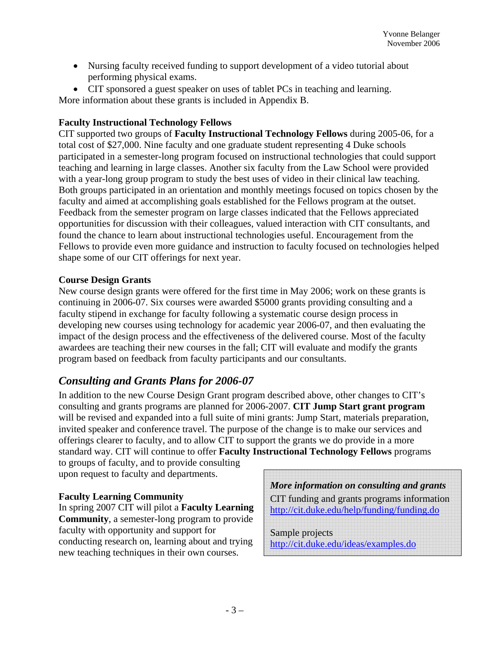- Nursing faculty received funding to support development of a video tutorial about performing physical exams.
- CIT sponsored a guest speaker on uses of tablet PCs in teaching and learning.

More information about these grants is included in Appendix B.

#### **Faculty Instructional Technology Fellows**

CIT supported two groups of **Faculty Instructional Technology Fellows** during 2005-06, for a total cost of \$27,000. Nine faculty and one graduate student representing 4 Duke schools participated in a semester-long program focused on instructional technologies that could support teaching and learning in large classes. Another six faculty from the Law School were provided with a year-long group program to study the best uses of video in their clinical law teaching. Both groups participated in an orientation and monthly meetings focused on topics chosen by the faculty and aimed at accomplishing goals established for the Fellows program at the outset. Feedback from the semester program on large classes indicated that the Fellows appreciated opportunities for discussion with their colleagues, valued interaction with CIT consultants, and found the chance to learn about instructional technologies useful. Encouragement from the Fellows to provide even more guidance and instruction to faculty focused on technologies helped shape some of our CIT offerings for next year.

#### **Course Design Grants**

New course design grants were offered for the first time in May 2006; work on these grants is continuing in 2006-07. Six courses were awarded \$5000 grants providing consulting and a faculty stipend in exchange for faculty following a systematic course design process in developing new courses using technology for academic year 2006-07, and then evaluating the impact of the design process and the effectiveness of the delivered course. Most of the faculty awardees are teaching their new courses in the fall; CIT will evaluate and modify the grants program based on feedback from faculty participants and our consultants.

# *Consulting and Grants Plans for 2006-07*

In addition to the new Course Design Grant program described above, other changes to CIT's consulting and grants programs are planned for 2006-2007. **CIT Jump Start grant program** will be revised and expanded into a full suite of mini grants: Jump Start, materials preparation, invited speaker and conference travel. The purpose of the change is to make our services and offerings clearer to faculty, and to allow CIT to support the grants we do provide in a more standard way. CIT will continue to offer **Faculty Instructional Technology Fellows** programs

to groups of faculty, and to provide consulting upon request to faculty and departments.

### **Faculty Learning Community**

In spring 2007 CIT will pilot a **Faculty Learning Community**, a semester-long program to provide faculty with opportunity and support for conducting research on, learning about and trying new teaching techniques in their own courses.

*More information on consulting and grants*  CIT funding and grants programs information http://cit.duke.edu/help/funding/funding.do

Sample projects

http://cit.duke.edu/ideas/examples.do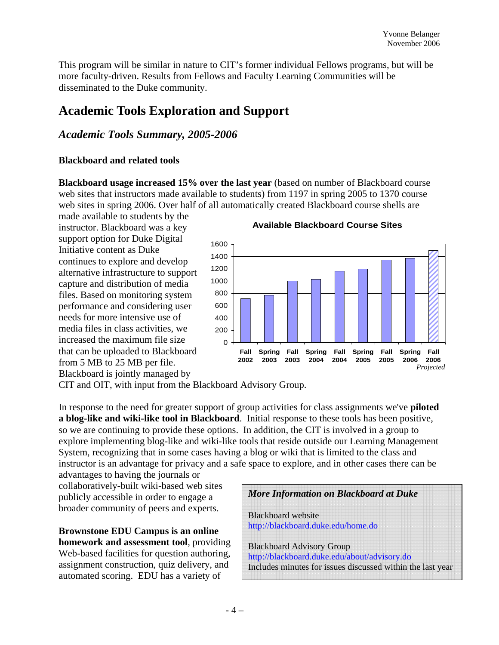This program will be similar in nature to CIT's former individual Fellows programs, but will be more faculty-driven. Results from Fellows and Faculty Learning Communities will be disseminated to the Duke community.

# **Academic Tools Exploration and Support**

## *Academic Tools Summary, 2005-2006*

#### **Blackboard and related tools**

**Blackboard usage increased 15% over the last year** (based on number of Blackboard course web sites that instructors made available to students) from 1197 in spring 2005 to 1370 course web sites in spring 2006. Over half of all automatically created Blackboard course shells are

made available to students by the instructor. Blackboard was a key support option for Duke Digital Initiative content as Duke continues to explore and develop alternative infrastructure to support capture and distribution of media files. Based on monitoring system performance and considering user needs for more intensive use of media files in class activities, we increased the maximum file size that can be uploaded to Blackboard from 5 MB to 25 MB per file. Blackboard is jointly managed by

**Available Blackboard Course Sites**



CIT and OIT, with input from the Blackboard Advisory Group.

In response to the need for greater support of group activities for class assignments we've **piloted a blog-like and wiki-like tool in Blackboard**. Initial response to these tools has been positive, so we are continuing to provide these options. In addition, the CIT is involved in a group to explore implementing blog-like and wiki-like tools that reside outside our Learning Management System, recognizing that in some cases having a blog or wiki that is limited to the class and instructor is an advantage for privacy and a safe space to explore, and in other cases there can be

advantages to having the journals or collaboratively-built wiki-based web sites publicly accessible in order to engage a broader community of peers and experts.

**Brownstone EDU Campus is an online homework and assessment tool**, providing Web-based facilities for question authoring, assignment construction, quiz delivery, and automated scoring. EDU has a variety of

| <b>More Information on Blackboard at Duke</b>                                                                                                  |  |
|------------------------------------------------------------------------------------------------------------------------------------------------|--|
| <b>Blackboard</b> website<br>http://blackboard.duke.edu/home.do                                                                                |  |
| <b>Blackboard Advisory Group</b><br>http://blackboard.duke.edu/about/advisory.do<br>Includes minutes for issues discussed within the last year |  |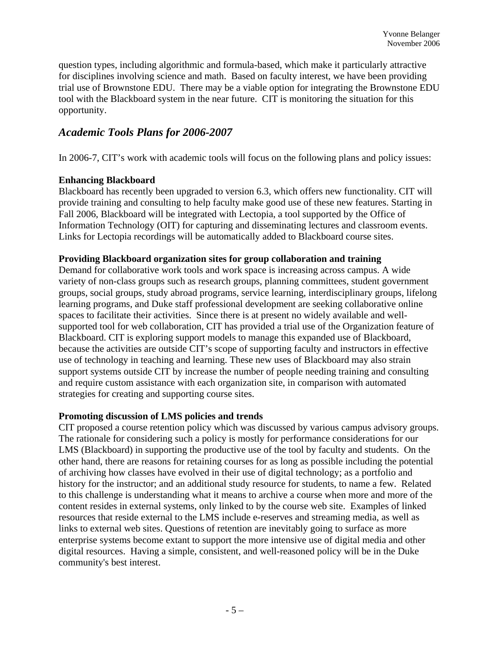question types, including algorithmic and formula-based, which make it particularly attractive for disciplines involving science and math. Based on faculty interest, we have been providing trial use of Brownstone EDU. There may be a viable option for integrating the Brownstone EDU tool with the Blackboard system in the near future. CIT is monitoring the situation for this opportunity.

# *Academic Tools Plans for 2006-2007*

In 2006-7, CIT's work with academic tools will focus on the following plans and policy issues:

#### **Enhancing Blackboard**

Blackboard has recently been upgraded to version 6.3, which offers new functionality. CIT will provide training and consulting to help faculty make good use of these new features. Starting in Fall 2006, Blackboard will be integrated with Lectopia, a tool supported by the Office of Information Technology (OIT) for capturing and disseminating lectures and classroom events. Links for Lectopia recordings will be automatically added to Blackboard course sites.

#### **Providing Blackboard organization sites for group collaboration and training**

Demand for collaborative work tools and work space is increasing across campus. A wide variety of non-class groups such as research groups, planning committees, student government groups, social groups, study abroad programs, service learning, interdisciplinary groups, lifelong learning programs, and Duke staff professional development are seeking collaborative online spaces to facilitate their activities. Since there is at present no widely available and wellsupported tool for web collaboration, CIT has provided a trial use of the Organization feature of Blackboard. CIT is exploring support models to manage this expanded use of Blackboard, because the activities are outside CIT's scope of supporting faculty and instructors in effective use of technology in teaching and learning. These new uses of Blackboard may also strain support systems outside CIT by increase the number of people needing training and consulting and require custom assistance with each organization site, in comparison with automated strategies for creating and supporting course sites.

#### **Promoting discussion of LMS policies and trends**

CIT proposed a course retention policy which was discussed by various campus advisory groups. The rationale for considering such a policy is mostly for performance considerations for our LMS (Blackboard) in supporting the productive use of the tool by faculty and students. On the other hand, there are reasons for retaining courses for as long as possible including the potential of archiving how classes have evolved in their use of digital technology; as a portfolio and history for the instructor; and an additional study resource for students, to name a few. Related to this challenge is understanding what it means to archive a course when more and more of the content resides in external systems, only linked to by the course web site. Examples of linked resources that reside external to the LMS include e-reserves and streaming media, as well as links to external web sites. Questions of retention are inevitably going to surface as more enterprise systems become extant to support the more intensive use of digital media and other digital resources. Having a simple, consistent, and well-reasoned policy will be in the Duke community's best interest.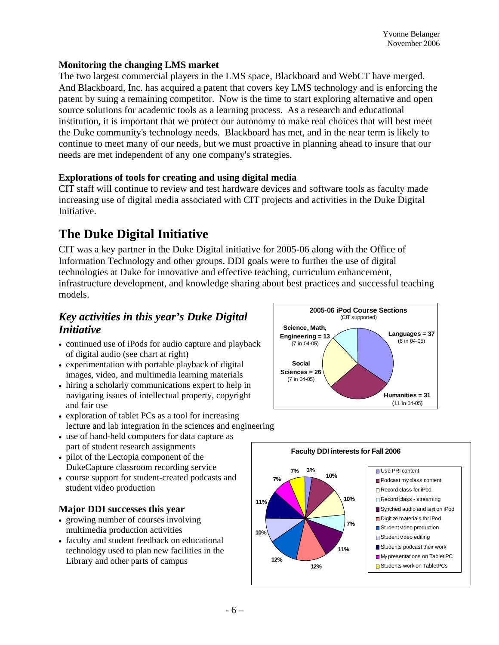#### **Monitoring the changing LMS market**

The two largest commercial players in the LMS space, Blackboard and WebCT have merged. And Blackboard, Inc. has acquired a patent that covers key LMS technology and is enforcing the patent by suing a remaining competitor. Now is the time to start exploring alternative and open source solutions for academic tools as a learning process. As a research and educational institution, it is important that we protect our autonomy to make real choices that will best meet the Duke community's technology needs. Blackboard has met, and in the near term is likely to continue to meet many of our needs, but we must proactive in planning ahead to insure that our needs are met independent of any one company's strategies.

#### **Explorations of tools for creating and using digital media**

CIT staff will continue to review and test hardware devices and software tools as faculty made increasing use of digital media associated with CIT projects and activities in the Duke Digital Initiative.

# **The Duke Digital Initiative**

CIT was a key partner in the Duke Digital initiative for 2005-06 along with the Office of Information Technology and other groups. DDI goals were to further the use of digital technologies at Duke for innovative and effective teaching, curriculum enhancement, infrastructure development, and knowledge sharing about best practices and successful teaching models.

# *Key activities in this year's Duke Digital Initiative*

- continued use of iPods for audio capture and playback of digital audio (see chart at right)
- experimentation with portable playback of digital images, video, and multimedia learning materials
- hiring a scholarly communications expert to help in navigating issues of intellectual property, copyright and fair use
- exploration of tablet PCs as a tool for increasing lecture and lab integration in the sciences and engineering
- use of hand-held computers for data capture as part of student research assignments
- pilot of the Lectopia component of the DukeCapture classroom recording service
- course support for student-created podcasts and student video production

#### **Major DDI successes this year**

- growing number of courses involving multimedia production activities
- faculty and student feedback on educational technology used to plan new facilities in the Library and other parts of campus



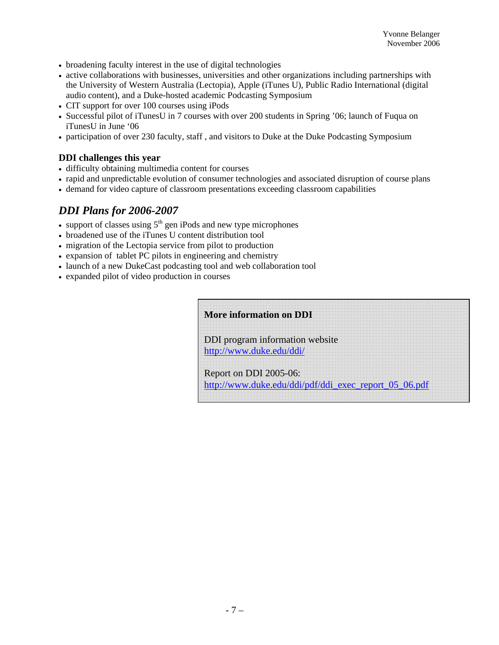- broadening faculty interest in the use of digital technologies
- active collaborations with businesses, universities and other organizations including partnerships with the University of Western Australia (Lectopia), Apple (iTunes U), Public Radio International (digital audio content), and a Duke-hosted academic Podcasting Symposium
- CIT support for over 100 courses using iPods
- Successful pilot of iTunesU in 7 courses with over 200 students in Spring '06; launch of Fuqua on iTunesU in June '06
- participation of over 230 faculty, staff , and visitors to Duke at the Duke Podcasting Symposium

#### **DDI challenges this year**

- difficulty obtaining multimedia content for courses
- rapid and unpredictable evolution of consumer technologies and associated disruption of course plans
- demand for video capture of classroom presentations exceeding classroom capabilities

# *DDI Plans for 2006-2007*

- support of classes using  $5<sup>th</sup>$  gen iPods and new type microphones
- broadened use of the iTunes U content distribution tool
- migration of the Lectopia service from pilot to production
- expansion of tablet PC pilots in engineering and chemistry
- launch of a new DukeCast podcasting tool and web collaboration tool
- expanded pilot of video production in courses

| <b>More information on DDI</b>                                                  |  |  |  |
|---------------------------------------------------------------------------------|--|--|--|
| DDI program information website<br>http://www.duke.edu/ddi/                     |  |  |  |
| Report on DDI 2005-06:<br>http://www.duke.edu/ddi/pdf/ddi_exec_report_05_06.pdf |  |  |  |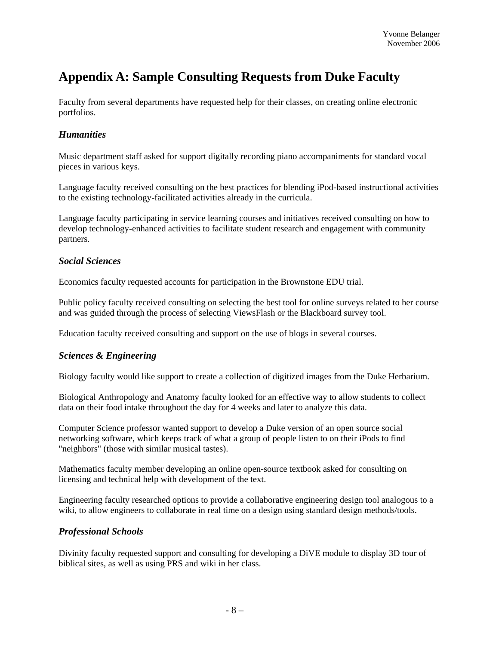# **Appendix A: Sample Consulting Requests from Duke Faculty**

Faculty from several departments have requested help for their classes, on creating online electronic portfolios.

#### *Humanities*

Music department staff asked for support digitally recording piano accompaniments for standard vocal pieces in various keys.

Language faculty received consulting on the best practices for blending iPod-based instructional activities to the existing technology-facilitated activities already in the curricula.

Language faculty participating in service learning courses and initiatives received consulting on how to develop technology-enhanced activities to facilitate student research and engagement with community partners.

#### *Social Sciences*

Economics faculty requested accounts for participation in the Brownstone EDU trial.

Public policy faculty received consulting on selecting the best tool for online surveys related to her course and was guided through the process of selecting ViewsFlash or the Blackboard survey tool.

Education faculty received consulting and support on the use of blogs in several courses.

#### *Sciences & Engineering*

Biology faculty would like support to create a collection of digitized images from the Duke Herbarium.

Biological Anthropology and Anatomy faculty looked for an effective way to allow students to collect data on their food intake throughout the day for 4 weeks and later to analyze this data.

Computer Science professor wanted support to develop a Duke version of an open source social networking software, which keeps track of what a group of people listen to on their iPods to find "neighbors" (those with similar musical tastes).

Mathematics faculty member developing an online open-source textbook asked for consulting on licensing and technical help with development of the text.

Engineering faculty researched options to provide a collaborative engineering design tool analogous to a wiki, to allow engineers to collaborate in real time on a design using standard design methods/tools.

#### *Professional Schools*

Divinity faculty requested support and consulting for developing a DiVE module to display 3D tour of biblical sites, as well as using PRS and wiki in her class.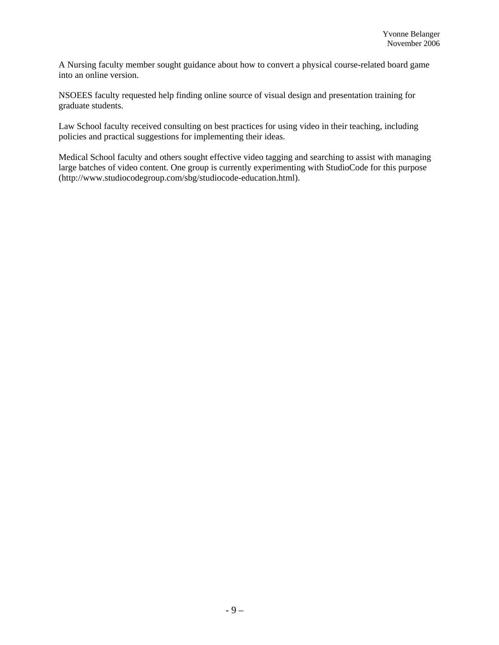A Nursing faculty member sought guidance about how to convert a physical course-related board game into an online version.

NSOEES faculty requested help finding online source of visual design and presentation training for graduate students.

Law School faculty received consulting on best practices for using video in their teaching, including policies and practical suggestions for implementing their ideas.

Medical School faculty and others sought effective video tagging and searching to assist with managing large batches of video content. One group is currently experimenting with StudioCode for this purpose (http://www.studiocodegroup.com/sbg/studiocode-education.html).